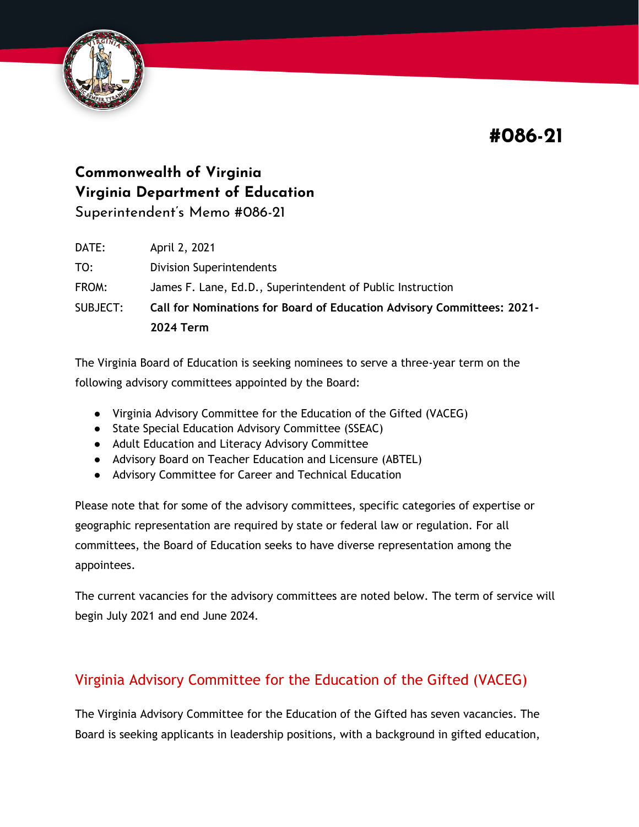**#086-21**



# **Commonwealth of Virginia Virginia Department of Education**

Superintendent's Memo #086-21

| DATE:    | April 2, 2021                                                                 |
|----------|-------------------------------------------------------------------------------|
| TO:      | <b>Division Superintendents</b>                                               |
| FROM:    | James F. Lane, Ed.D., Superintendent of Public Instruction                    |
| SUBJECT: | <b>Call for Nominations for Board of Education Advisory Committees: 2021-</b> |
|          | <b>2024 Term</b>                                                              |

The Virginia Board of Education is seeking nominees to serve a three-year term on the following advisory committees appointed by the Board:

- Virginia Advisory Committee for the Education of the Gifted (VACEG)
- State Special Education Advisory Committee (SSEAC)
- Adult Education and Literacy Advisory Committee
- Advisory Board on Teacher Education and Licensure (ABTEL)
- Advisory Committee for Career and Technical Education

Please note that for some of the advisory committees, specific categories of expertise or geographic representation are required by state or federal law or regulation. For all committees, the Board of Education seeks to have diverse representation among the appointees.

The current vacancies for the advisory committees are noted below. The term of service will begin July 2021 and end June 2024.

## Virginia Advisory Committee for the Education of the Gifted (VACEG)

The Virginia Advisory Committee for the Education of the Gifted has seven vacancies. The Board is seeking applicants in leadership positions, with a background in gifted education,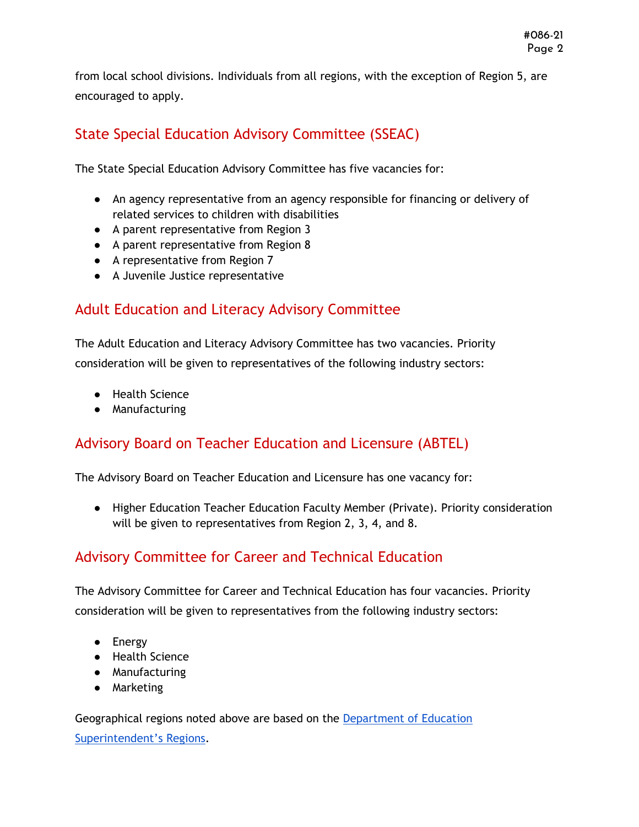from local school divisions. Individuals from all regions, with the exception of Region 5, are encouraged to apply.

### State Special Education Advisory Committee (SSEAC)

The State Special Education Advisory Committee has five vacancies for:

- An agency representative from an agency responsible for financing or delivery of related services to children with disabilities
- A parent representative from Region 3
- A parent representative from Region 8
- A representative from Region 7
- A Juvenile Justice representative

#### Adult Education and Literacy Advisory Committee

The Adult Education and Literacy Advisory Committee has two vacancies. Priority consideration will be given to representatives of the following industry sectors:

- Health Science
- Manufacturing

#### Advisory Board on Teacher Education and Licensure (ABTEL)

The Advisory Board on Teacher Education and Licensure has one vacancy for:

● Higher Education Teacher Education Faculty Member (Private). Priority consideration will be given to representatives from Region 2, 3, 4, and 8.

#### Advisory Committee for Career and Technical Education

The Advisory Committee for Career and Technical Education has four vacancies. Priority consideration will be given to representatives from the following industry sectors:

- Energy
- Health Science
- Manufacturing
- Marketing

Geographical regions noted above are based on the [Department of Education](http://www.doe.virginia.gov/directories/school_divisions/division_info_by_regions.shtml)  [Superintendent's Regions](http://www.doe.virginia.gov/directories/school_divisions/division_info_by_regions.shtml).